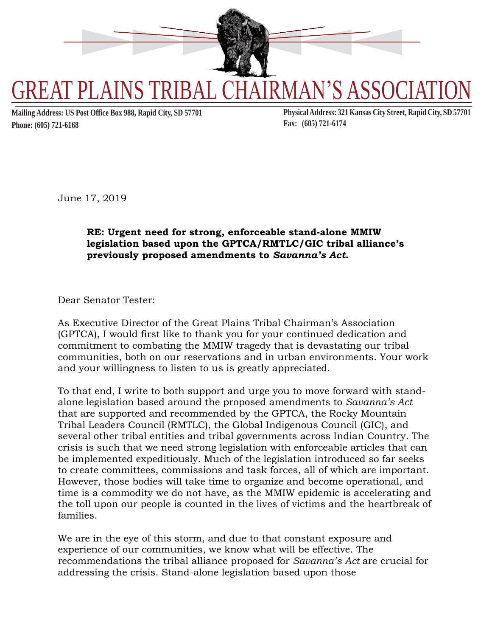

**Phone: (605) 721-6168 Fax: (605) 721-6174**

Mailing Address: US Post Office Box 988, Rapid City, SD 57701 Physical Address: 321 Kansas City Street, Rapid City, SD 57701

June 17, 2019

## **RE: Urgent need for strong, enforceable stand-alone MMIW legislation based upon the GPTCA/RMTLC/GIC tribal alliance's previously proposed amendments to** *Savanna's Act***.**

Dear Senator Tester:

As Executive Director of the Great Plains Tribal Chairman's Association (GPTCA), I would first like to thank you for your continued dedication and commitment to combating the MMIW tragedy that is devastating our tribal communities, both on our reservations and in urban environments. Your work and your willingness to listen to us is greatly appreciated.

To that end, I write to both support and urge you to move forward with standalone legislation based around the proposed amendments to *Savanna's Act* that are supported and recommended by the GPTCA, the Rocky Mountain Tribal Leaders Council (RMTLC), the Global Indigenous Council (GIC), and several other tribal entities and tribal governments across Indian Country. The crisis is such that we need strong legislation with enforceable articles that can be implemented expeditiously. Much of the legislation introduced so far seeks to create committees, commissions and task forces, all of which are important. However, those bodies will take time to organize and become operational, and time is a commodity we do not have, as the MMIW epidemic is accelerating and the toll upon our people is counted in the lives of victims and the heartbreak of families.

We are in the eye of this storm, and due to that constant exposure and experience of our communities, we know what will be effective. The recommendations the tribal alliance proposed for *Savanna's Act* are crucial for addressing the crisis. Stand-alone legislation based upon those